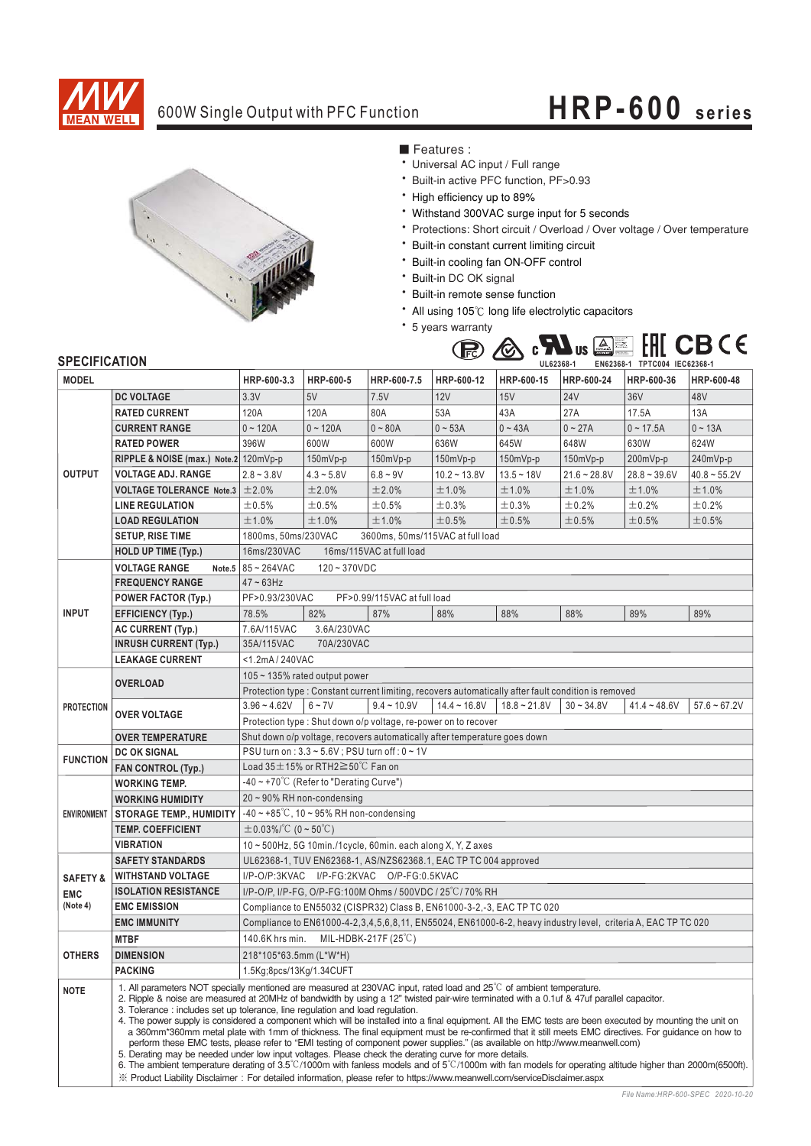

## 600W Single Output with PFC Function **HRP-600 series**



■ Features :

- Universal AC input / Full range
- \* Built-in active PFC function, PF>0.93
- \* High efficiency up to 89%
- \* Withstand 300VAC surge input for 5 seconds
- \* Protections: Short circuit / Overload / Over voltage / Over temperature
- \* Built-in constant current limiting circuit
- \* Built-in cooling fan ON-OFF control
- \* Built-in DC OK signal
- \* Built-in remote sense function
- All using 105°C long life electrolytic capacitors
- \* 5 years warranty



## **SPECIFICATION**

| יוטו ובאו ווט⊾ וט<br><b>MODEL</b> |                                                                                                                                                                                                                                                                                                                                                                                                                                                                                                                                                                                                                                                                                                                                                                                                                                                                                                                                                                                                                                                                                                                                                                                                                     | HRP-600-3.3                                                                                                         | HRP-600-5    | HRP-600-7.5   | HRP-600-12     | UL02300-T<br>HRP-600-15 | HRP-600-24     | EN0Z300-I IPIUUU4 IEU0Z300-I<br>HRP-600-36 | HRP-600-48     |
|-----------------------------------|---------------------------------------------------------------------------------------------------------------------------------------------------------------------------------------------------------------------------------------------------------------------------------------------------------------------------------------------------------------------------------------------------------------------------------------------------------------------------------------------------------------------------------------------------------------------------------------------------------------------------------------------------------------------------------------------------------------------------------------------------------------------------------------------------------------------------------------------------------------------------------------------------------------------------------------------------------------------------------------------------------------------------------------------------------------------------------------------------------------------------------------------------------------------------------------------------------------------|---------------------------------------------------------------------------------------------------------------------|--------------|---------------|----------------|-------------------------|----------------|--------------------------------------------|----------------|
|                                   |                                                                                                                                                                                                                                                                                                                                                                                                                                                                                                                                                                                                                                                                                                                                                                                                                                                                                                                                                                                                                                                                                                                                                                                                                     |                                                                                                                     |              |               |                |                         |                |                                            |                |
| <b>OUTPUT</b>                     | <b>DC VOLTAGE</b>                                                                                                                                                                                                                                                                                                                                                                                                                                                                                                                                                                                                                                                                                                                                                                                                                                                                                                                                                                                                                                                                                                                                                                                                   | 3.3V                                                                                                                | 5V           | 7.5V          | 12V            | 15V                     | <b>24V</b>     | 36V                                        | 48V            |
|                                   | <b>RATED CURRENT</b>                                                                                                                                                                                                                                                                                                                                                                                                                                                                                                                                                                                                                                                                                                                                                                                                                                                                                                                                                                                                                                                                                                                                                                                                | 120A                                                                                                                | 120A         | 80A           | 53A            | 43A                     | 27A            | 17.5A                                      | 13A            |
|                                   | <b>CURRENT RANGE</b>                                                                                                                                                                                                                                                                                                                                                                                                                                                                                                                                                                                                                                                                                                                                                                                                                                                                                                                                                                                                                                                                                                                                                                                                | $0 - 120A$                                                                                                          | $0 - 120A$   | $0 - 80A$     | $0 - 53A$      | $0 - 43A$               | $0 - 27A$      | $0 - 17.5A$                                | $0 - 13A$      |
|                                   | <b>RATED POWER</b>                                                                                                                                                                                                                                                                                                                                                                                                                                                                                                                                                                                                                                                                                                                                                                                                                                                                                                                                                                                                                                                                                                                                                                                                  | 396W                                                                                                                | 600W         | 600W          | 636W           | 645W                    | 648W           | 630W                                       | 624W           |
|                                   | RIPPLE & NOISE (max.) Note.2 120mVp-p                                                                                                                                                                                                                                                                                                                                                                                                                                                                                                                                                                                                                                                                                                                                                                                                                                                                                                                                                                                                                                                                                                                                                                               |                                                                                                                     | $150mVp-p$   | 150mVp-p      | $150mVp-p$     | $150mVp-p$              | $150mVp-p$     | 200mVp-p                                   | 240mVp-p       |
|                                   | <b>VOLTAGE ADJ. RANGE</b>                                                                                                                                                                                                                                                                                                                                                                                                                                                                                                                                                                                                                                                                                                                                                                                                                                                                                                                                                                                                                                                                                                                                                                                           | $2.8 - 3.8V$                                                                                                        | $4.3 - 5.8V$ | $6.8 - 9V$    | $10.2 - 13.8V$ | $13.5 - 18V$            | $21.6 - 28.8V$ | $28.8 - 39.6V$                             | $40.8 - 55.2V$ |
|                                   | <b>VOLTAGE TOLERANCE Note.3</b>                                                                                                                                                                                                                                                                                                                                                                                                                                                                                                                                                                                                                                                                                                                                                                                                                                                                                                                                                                                                                                                                                                                                                                                     | ±2.0%                                                                                                               | ±2.0%        | ±2.0%         | ±1.0%          | ±1.0%                   | ±1.0%          | ±1.0%                                      | ±1.0%          |
|                                   | <b>LINE REGULATION</b>                                                                                                                                                                                                                                                                                                                                                                                                                                                                                                                                                                                                                                                                                                                                                                                                                                                                                                                                                                                                                                                                                                                                                                                              | ±0.5%                                                                                                               | $\pm 0.5\%$  | ±0.5%         | ±0.3%          | $\pm$ 0.3%              | ±0.2%          | ±0.2%                                      | ±0.2%          |
|                                   | <b>LOAD REGULATION</b>                                                                                                                                                                                                                                                                                                                                                                                                                                                                                                                                                                                                                                                                                                                                                                                                                                                                                                                                                                                                                                                                                                                                                                                              | ±1.0%                                                                                                               | ±1.0%        | ±1.0%         | ±0.5%          | ±0.5%                   | ±0.5%          | ±0.5%                                      | ±0.5%          |
|                                   | <b>SETUP, RISE TIME</b>                                                                                                                                                                                                                                                                                                                                                                                                                                                                                                                                                                                                                                                                                                                                                                                                                                                                                                                                                                                                                                                                                                                                                                                             | 1800ms, 50ms/230VAC<br>3600ms, 50ms/115VAC at full load                                                             |              |               |                |                         |                |                                            |                |
|                                   | <b>HOLD UP TIME (Typ.)</b>                                                                                                                                                                                                                                                                                                                                                                                                                                                                                                                                                                                                                                                                                                                                                                                                                                                                                                                                                                                                                                                                                                                                                                                          | 16ms/115VAC at full load<br>16ms/230VAC                                                                             |              |               |                |                         |                |                                            |                |
| <b>INPUT</b>                      | <b>VOLTAGE RANGE</b>                                                                                                                                                                                                                                                                                                                                                                                                                                                                                                                                                                                                                                                                                                                                                                                                                                                                                                                                                                                                                                                                                                                                                                                                | Note.5 $85 - 264$ VAC<br>$120 - 370VDC$                                                                             |              |               |                |                         |                |                                            |                |
|                                   | <b>FREQUENCY RANGE</b>                                                                                                                                                                                                                                                                                                                                                                                                                                                                                                                                                                                                                                                                                                                                                                                                                                                                                                                                                                                                                                                                                                                                                                                              | $47 - 63$ Hz                                                                                                        |              |               |                |                         |                |                                            |                |
|                                   | <b>POWER FACTOR (Typ.)</b>                                                                                                                                                                                                                                                                                                                                                                                                                                                                                                                                                                                                                                                                                                                                                                                                                                                                                                                                                                                                                                                                                                                                                                                          | PF>0.93/230VAC<br>PF>0.99/115VAC at full load                                                                       |              |               |                |                         |                |                                            |                |
|                                   | <b>EFFICIENCY (Typ.)</b>                                                                                                                                                                                                                                                                                                                                                                                                                                                                                                                                                                                                                                                                                                                                                                                                                                                                                                                                                                                                                                                                                                                                                                                            | 78.5%                                                                                                               | 82%          | 87%           | 88%            | 88%                     | 88%            | 89%                                        | 89%            |
|                                   | <b>AC CURRENT (Typ.)</b>                                                                                                                                                                                                                                                                                                                                                                                                                                                                                                                                                                                                                                                                                                                                                                                                                                                                                                                                                                                                                                                                                                                                                                                            | 7.6A/115VAC<br>3.6A/230VAC                                                                                          |              |               |                |                         |                |                                            |                |
|                                   | <b>INRUSH CURRENT (Typ.)</b>                                                                                                                                                                                                                                                                                                                                                                                                                                                                                                                                                                                                                                                                                                                                                                                                                                                                                                                                                                                                                                                                                                                                                                                        | 35A/115VAC<br>70A/230VAC                                                                                            |              |               |                |                         |                |                                            |                |
|                                   | <b>LEAKAGE CURRENT</b>                                                                                                                                                                                                                                                                                                                                                                                                                                                                                                                                                                                                                                                                                                                                                                                                                                                                                                                                                                                                                                                                                                                                                                                              | <1.2mA/240VAC                                                                                                       |              |               |                |                         |                |                                            |                |
| <b>PROTECTION</b>                 | <b>OVERLOAD</b>                                                                                                                                                                                                                                                                                                                                                                                                                                                                                                                                                                                                                                                                                                                                                                                                                                                                                                                                                                                                                                                                                                                                                                                                     | $105 \sim 135\%$ rated output power                                                                                 |              |               |                |                         |                |                                            |                |
|                                   |                                                                                                                                                                                                                                                                                                                                                                                                                                                                                                                                                                                                                                                                                                                                                                                                                                                                                                                                                                                                                                                                                                                                                                                                                     | Protection type : Constant current limiting, recovers automatically after fault condition is removed                |              |               |                |                         |                |                                            |                |
|                                   | <b>OVER VOLTAGE</b>                                                                                                                                                                                                                                                                                                                                                                                                                                                                                                                                                                                                                                                                                                                                                                                                                                                                                                                                                                                                                                                                                                                                                                                                 | $3.96 - 4.62V$                                                                                                      | $6 \sim 7V$  | $9.4 - 10.9V$ | $14.4 - 16.8V$ | $18.8 - 21.8V$          | $30 - 34.8V$   | $41.4 - 48.6V$                             | $57.6 - 67.2V$ |
|                                   |                                                                                                                                                                                                                                                                                                                                                                                                                                                                                                                                                                                                                                                                                                                                                                                                                                                                                                                                                                                                                                                                                                                                                                                                                     | Protection type: Shut down o/p voltage, re-power on to recover                                                      |              |               |                |                         |                |                                            |                |
|                                   | <b>OVER TEMPERATURE</b>                                                                                                                                                                                                                                                                                                                                                                                                                                                                                                                                                                                                                                                                                                                                                                                                                                                                                                                                                                                                                                                                                                                                                                                             | Shut down o/p voltage, recovers automatically after temperature goes down                                           |              |               |                |                         |                |                                            |                |
| <b>FUNCTION</b>                   | <b>DC OK SIGNAL</b>                                                                                                                                                                                                                                                                                                                                                                                                                                                                                                                                                                                                                                                                                                                                                                                                                                                                                                                                                                                                                                                                                                                                                                                                 | PSU turn on : 3.3 ~ 5.6V ; PSU turn off : 0 ~ 1V                                                                    |              |               |                |                         |                |                                            |                |
|                                   | <b>FAN CONTROL (Typ.)</b>                                                                                                                                                                                                                                                                                                                                                                                                                                                                                                                                                                                                                                                                                                                                                                                                                                                                                                                                                                                                                                                                                                                                                                                           | Load $35 \pm 15\%$ or RTH2 $\geq 50\degree$ C Fan on                                                                |              |               |                |                         |                |                                            |                |
| <b>ENVIRONMENT</b>                | <b>WORKING TEMP.</b>                                                                                                                                                                                                                                                                                                                                                                                                                                                                                                                                                                                                                                                                                                                                                                                                                                                                                                                                                                                                                                                                                                                                                                                                | -40~+70℃ (Refer to "Derating Curve")                                                                                |              |               |                |                         |                |                                            |                |
|                                   | <b>WORKING HUMIDITY</b>                                                                                                                                                                                                                                                                                                                                                                                                                                                                                                                                                                                                                                                                                                                                                                                                                                                                                                                                                                                                                                                                                                                                                                                             | 20~90% RH non-condensing                                                                                            |              |               |                |                         |                |                                            |                |
|                                   | <b>STORAGE TEMP., HUMIDITY</b>                                                                                                                                                                                                                                                                                                                                                                                                                                                                                                                                                                                                                                                                                                                                                                                                                                                                                                                                                                                                                                                                                                                                                                                      | $-40 \sim +85^{\circ}$ C, 10 ~ 95% RH non-condensing                                                                |              |               |                |                         |                |                                            |                |
|                                   | <b>TEMP. COEFFICIENT</b>                                                                                                                                                                                                                                                                                                                                                                                                                                                                                                                                                                                                                                                                                                                                                                                                                                                                                                                                                                                                                                                                                                                                                                                            | $\pm$ 0.03%/°C (0~50°C)                                                                                             |              |               |                |                         |                |                                            |                |
|                                   | <b>VIBRATION</b>                                                                                                                                                                                                                                                                                                                                                                                                                                                                                                                                                                                                                                                                                                                                                                                                                                                                                                                                                                                                                                                                                                                                                                                                    | 10~500Hz, 5G 10min./1cycle, 60min. each along X, Y, Z axes                                                          |              |               |                |                         |                |                                            |                |
|                                   | UL62368-1, TUV EN62368-1, AS/NZS62368.1, EAC TP TC 004 approved<br><b>SAFETY STANDARDS</b>                                                                                                                                                                                                                                                                                                                                                                                                                                                                                                                                                                                                                                                                                                                                                                                                                                                                                                                                                                                                                                                                                                                          |                                                                                                                     |              |               |                |                         |                |                                            |                |
| <b>SAFETY &amp;</b><br><b>EMC</b> | <b>WITHSTAND VOLTAGE</b>                                                                                                                                                                                                                                                                                                                                                                                                                                                                                                                                                                                                                                                                                                                                                                                                                                                                                                                                                                                                                                                                                                                                                                                            | I/P-O/P:3KVAC I/P-FG:2KVAC O/P-FG:0.5KVAC                                                                           |              |               |                |                         |                |                                            |                |
|                                   | <b>ISOLATION RESISTANCE</b>                                                                                                                                                                                                                                                                                                                                                                                                                                                                                                                                                                                                                                                                                                                                                                                                                                                                                                                                                                                                                                                                                                                                                                                         | I/P-O/P, I/P-FG, O/P-FG:100M Ohms / 500VDC / 25°C/70% RH                                                            |              |               |                |                         |                |                                            |                |
| (Note 4)                          | <b>EMC EMISSION</b>                                                                                                                                                                                                                                                                                                                                                                                                                                                                                                                                                                                                                                                                                                                                                                                                                                                                                                                                                                                                                                                                                                                                                                                                 | Compliance to EN55032 (CISPR32) Class B, EN61000-3-2,-3, EAC TP TC 020                                              |              |               |                |                         |                |                                            |                |
|                                   | <b>EMC IMMUNITY</b>                                                                                                                                                                                                                                                                                                                                                                                                                                                                                                                                                                                                                                                                                                                                                                                                                                                                                                                                                                                                                                                                                                                                                                                                 | Compliance to EN61000-4-2, 3, 4, 5, 6, 8, 11, EN55024, EN61000-6-2, heavy industry level, criteria A, EAC TP TC 020 |              |               |                |                         |                |                                            |                |
| <b>OTHERS</b>                     | <b>MTBF</b>                                                                                                                                                                                                                                                                                                                                                                                                                                                                                                                                                                                                                                                                                                                                                                                                                                                                                                                                                                                                                                                                                                                                                                                                         | 140.6K hrs min. MIL-HDBK-217F (25°C)                                                                                |              |               |                |                         |                |                                            |                |
|                                   | <b>DIMENSION</b>                                                                                                                                                                                                                                                                                                                                                                                                                                                                                                                                                                                                                                                                                                                                                                                                                                                                                                                                                                                                                                                                                                                                                                                                    | 218*105*63.5mm (L*W*H)                                                                                              |              |               |                |                         |                |                                            |                |
|                                   | <b>PACKING</b>                                                                                                                                                                                                                                                                                                                                                                                                                                                                                                                                                                                                                                                                                                                                                                                                                                                                                                                                                                                                                                                                                                                                                                                                      | 1.5Kg;8pcs/13Kg/1.34CUFT                                                                                            |              |               |                |                         |                |                                            |                |
| <b>NOTE</b>                       | 1. All parameters NOT specially mentioned are measured at 230VAC input, rated load and $25^{\circ}$ C of ambient temperature.<br>2. Ripple & noise are measured at 20MHz of bandwidth by using a 12" twisted pair-wire terminated with a 0.1uf & 47uf parallel capacitor.<br>3. Tolerance: includes set up tolerance, line regulation and load regulation.<br>4. The power supply is considered a component which will be installed into a final equipment. All the EMC tests are been executed by mounting the unit on<br>a 360mm*360mm metal plate with 1mm of thickness. The final equipment must be re-confirmed that it still meets EMC directives. For guidance on how to<br>perform these EMC tests, please refer to "EMI testing of component power supplies." (as available on http://www.meanwell.com)<br>5. Derating may be needed under low input voltages. Please check the derating curve for more details.<br>6. The ambient temperature derating of 3.5°C/1000m with fanless models and of 5°C/1000m with fan models for operating altitude higher than 2000m(6500ft).<br>X Product Liability Disclaimer: For detailed information, please refer to https://www.meanwell.com/serviceDisclaimer.aspx |                                                                                                                     |              |               |                |                         |                |                                            |                |